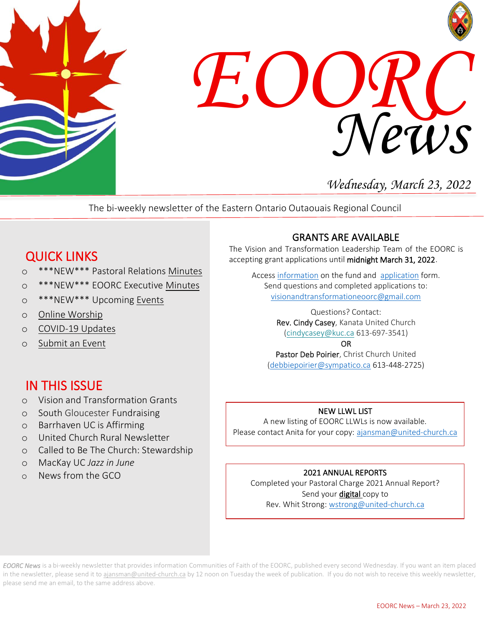



# *Wednesday, March 23, 2022*

The bi-weekly newsletter of the Eastern Ontario Outaouais Regional Council

# QUICK LINKS

- o \*\*\*NEW\*\*\* Pastoral Relations [Minutes](https://eoorc.ca/ministries/pastoral-relations/)
- o \*\*\*NEW\*\*\* EOORC Executive [Minutes](https://eoorc.ca/about-us/governance/)
- o \*\*\*NEW\*\*\* Upcoming [Events](https://eoorc.ca/events/)
- o [Online Worship](https://eoorc.ca/resources/online-worship/)
- o [COVID-19 Updates](https://eoorc.ca/resources/covid-19/)
- o [Submit](https://eoorc.ca/events/community/add) an Event

## IN THIS ISSUE

- o Vision and Transformation Grants
- o South Gloucester Fundraising
- o Barrhaven UC is Affirming
- o United Church Rural Newsletter
- o Called to Be The Church: Stewardship
- o MacKay UC *Jazz in June*
- o News from the GCO

### GRANTS ARE AVAILABLE

The Vision and Transformation Leadership Team of the EOORC is accepting grant applications until midnight March 31, 2022.

Acces[s information](https://eoorc.ca/wp-content/uploads/2021/09/EOORC-List-of-Principles-and-Criteria-for-the-Adjudication-of-EOORC-Vision-and-transformation-Team-Grants-June-15-2021.pdf) on the fund and [application](https://eoorc.ca/wp-content/uploads/2021/09/Vision-and-Transformation-Terms-of-Reference-and-Application.pdf) form. Send questions and completed applications to: [visionandtransformationeoorc@gmail.com](mailto:visionandtransformationeoorc@gmail.com)

> Questions? Contact: Rev. Cindy Casey, Kanata United Church [\(cindycasey@kuc.ca](mailto:cindycasey@kuc.ca) 613-697-3541)

> > OR

Pastor Deb Poirier, Christ Church United [\(debbiepoirier@sympatico.ca](mailto:debbiepoirier@sympatico.ca) 613-448-2725)

### NEW LLWL LIST

A new listing of EOORC LLWLs is now available. Please contact Anita for your copy: [ajansman@united-church.ca](mailto:ajansman@united-church.ca)

### 2021 ANNUAL REPORTS

Completed your Pastoral Charge 2021 Annual Report? Send your digital copy to Rev. Whit Strong: [wstrong@united-church.ca](mailto:wstrong@united-church.ca)

Ī.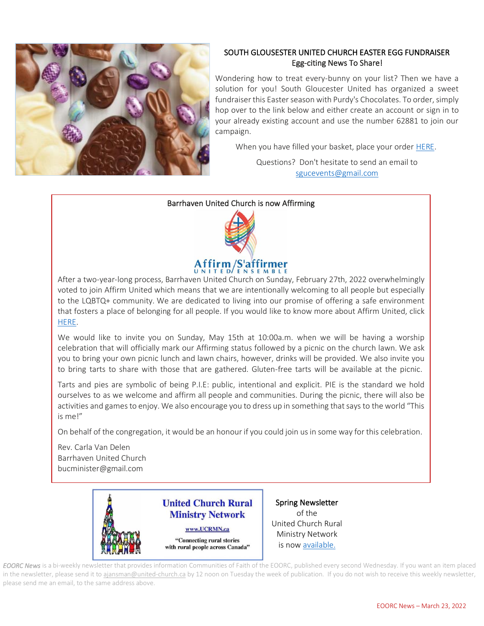

#### SOUTH GLOUSESTER UNITED CHURCH EASTER EGG FUNDRAISER Egg-citing News To Share!

 Wondering how to treat every-bunny on your list? Then we have a solution for you! South Gloucester United has organized a sweet fundraiser this Easter season with Purdy's Chocolates. To order, simply hop over to the link below and either create an account or sign in to your already existing account and use the number 62881 to join our campaign.

When you have filled your basket, place your order [HERE.](https://fundraising.purdys.com/join.aspx/1533404-94969)

Questions? Don't hesitate to send an email to [sgucevents@gmail.com](mailto:sgucevents@gmail.com)

#### Barrhaven United Church is now Affirming



After a two-year-long process, Barrhaven United Church on Sunday, February 27th, 2022 overwhelmingly voted to join Affirm United which means that we are intentionally welcoming to all people but especially to the LQBTQ+ community. We are dedicated to living into our promise of offering a safe environment that fosters a place of belonging for all people. If you would like to know more about Affirm United, click [HERE.](https://affirmunited.ause.ca/frequently-asked-questions-about-affirm-united-saffirmer-ensemble/)

We would like to invite you on Sunday, May 15th at 10:00a.m. when we will be having a worship celebration that will officially mark our Affirming status followed by a picnic on the church lawn. We ask you to bring your own picnic lunch and lawn chairs, however, drinks will be provided. We also invite you to bring tarts to share with those that are gathered. Gluten-free tarts will be available at the picnic.

Tarts and pies are symbolic of being P.I.E: public, intentional and explicit. PIE is the standard we hold ourselves to as we welcome and affirm all people and communities. During the picnic, there will also be activities and games to enjoy. We also encourage you to dress up in something that says to the world "This is me!"

On behalf of the congregation, it would be an honour if you could join usin some way for this celebration.

Rev. Carla Van Delen Barrhaven United Church bucminister@gmail.com



Spring Newsletter of the United Church Rural Ministry Network is now [available.](https://mailchi.mp/fbed91bb1f5b/summer-newsletter-from-ucrmn-11434422?e=e75cce5971)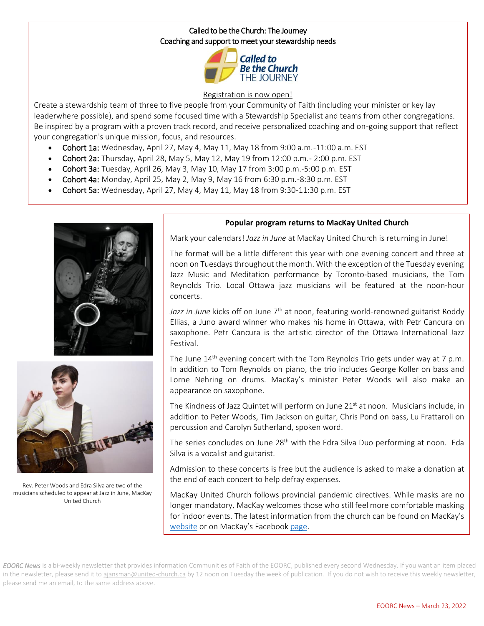#### Called to be the Church: The Journey Coaching and support to meet your stewardship needs



#### [Registration](https://can01.safelinks.protection.outlook.com/?url=https%3A%2F%2Fwww.united-in-learning.com%2Findex.php%2Fwebinars%2F408-called-to-be-the-church-the-journey&data=04%7C01%7CAJansman%40united-church.ca%7C26d40f44828944b8220308da068a2434%7Ccf18b5a826784011931215f0f7157574%7C0%7C0%7C637829487618483757%7CUnknown%7CTWFpbGZsb3d8eyJWIjoiMC4wLjAwMDAiLCJQIjoiV2luMzIiLCJBTiI6Ik1haWwiLCJXVCI6Mn0%3D%7C3000&sdata=8F%2BuUb1g8QVhhot8eUSeN8O8w7VUzkciFMVZjue9mGo%3D&reserved=0) is now open!

 Create a stewardship team of three to five people from your Community of Faith (including your minister or key lay leaderwhere possible), and spend some focused time with a Stewardship Specialist and teams from other congregations.<br>Be inspired by a program with a proven track record, and resolve personalized coaching and on going suppo Be inspired by a program with a proven track record, and receive personalized coaching and on-going support that reflect your congregation's unique mission, focus, and resources.

- Cohort 1a: Wednesday, April 27, May 4, May 11, May 18 from 9:00 a.m.-11:00 a.m. EST
- Cohort 2a: Thursday, April 28, May 5, May 12, May 19 from 12:00 p.m.- 2:00 p.m. EST
- Cohort 2a: Tharsaay, April 26, May 3, May 12, May 19 Hoff 12:00 p.m. 2:00 p.m.<br>• Cohort 3a: Tuesday, April 26, May 3, May 10, May 17 from 3:00 p.m.-5:00 p.m. EST
- Cohort 4a: Monday, April 25, May 2, May 9, May 16 from 6:30 p.m.-8:30 p.m. EST
- Cohort 5a: Wednesday, April 27, May 4, May 11, May 18 from 9:30-11:30 p.m. EST





Rev. Peter Woods and Edra Silva are two of the musicians scheduled to appear at Jazz in June, MacKay United Church

#### j **Popular program returns to MacKay United Church**

Mark your calendars! *Jazz in June* at MacKay United Church is returning in June!

 The format will be a little different this year with one evening concert and three at noon on Tuesdaysthroughout the month. With the exception of the Tuesday evening Jazz Music and Meditation performance by Toronto-based musicians, the Tom Į Reynolds Trio. Local Ottawa jazz musicians will be featured at the noon-hour<br>concerts. concerts.

Jazz in June kicks off on June 7<sup>th</sup> at noon, featuring world-renowned guitarist Roddy Ellias, a Juno award winner who makes his home in Ottawa, with Petr Cancura on saxophone. Petr Cancura is the artistic director of the Ottawa International Jazz<br>Festival. Festival.

The June  $14^{\text{th}}$  evening concert with the Tom Reynolds Trio gets under way at 7 p.m. In addition to Tom Reynolds on piano, the trio includes George Koller on bass and Lorne Nehring on drums. MacKay's minister Peter Woods will also make an<br>appearance.on.saxophone. appearance on saxophone.

The Kindness of Jazz Quintet will perform on June 21<sup>st</sup> at noon. Musicians include, in addition to Peter Woods, Tim Jackson on guitar, Chris Pond on bass, Lu Frattaroli on percussion and Carolyn Sutherland, spoken word.

The series concludes on June 28<sup>th</sup> with the Edra Silva Duo performing at noon. Eda<br>Silva is a vocalist and guitarist Silva is a vocalist and guitarist.

 Admission to these concerts is free but the audience is asked to make a donation at the end of each concert to help defray expenses.

 MacKay United Church follows provincial pandemic directives. While masks are no ionger mandatory, Mackay weicomes those who still feel more comfortable masking<br>for indoor events. The latest information from the church can be found on MacKay's [website](https://www.mackayunited.ca/) or on MacKay's Facebook [page.](https://www.facebook.com/pages/MacKay-United-Church/102513869803505) longer mandatory, MacKay welcomes those who still feel more comfortable masking